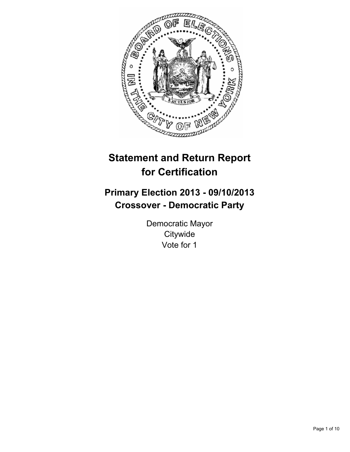

# **Statement and Return Report for Certification**

# **Primary Election 2013 - 09/10/2013 Crossover - Democratic Party**

Democratic Mayor **Citywide** Vote for 1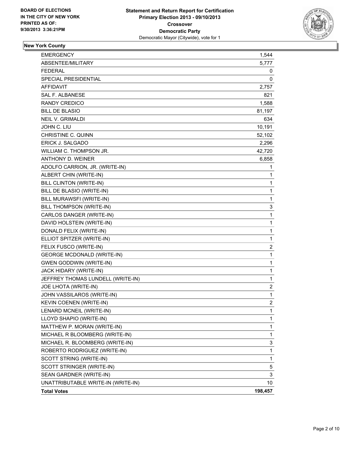

### **New York County**

| <b>EMERGENCY</b>                   | 1,544          |
|------------------------------------|----------------|
| ABSENTEE/MILITARY                  | 5,777          |
| <b>FEDERAL</b>                     | 0              |
| SPECIAL PRESIDENTIAL               | 0              |
| <b>AFFIDAVIT</b>                   | 2,757          |
| <b>SAL F. ALBANESE</b>             | 821            |
| <b>RANDY CREDICO</b>               | 1,588          |
| <b>BILL DE BLASIO</b>              | 81,197         |
| <b>NEIL V. GRIMALDI</b>            | 634            |
| JOHN C. LIU                        | 10,191         |
| <b>CHRISTINE C. QUINN</b>          | 52,102         |
| ERICK J. SALGADO                   | 2,296          |
| WILLIAM C. THOMPSON JR.            | 42,720         |
| <b>ANTHONY D. WEINER</b>           | 6,858          |
| ADOLFO CARRION, JR. (WRITE-IN)     | 1              |
| ALBERT CHIN (WRITE-IN)             | 1              |
| BILL CLINTON (WRITE-IN)            | 1              |
| BILL DE BLASIO (WRITE-IN)          | 1              |
| BILL MURAWSFI (WRITE-IN)           | 1              |
| BILL THOMPSON (WRITE-IN)           | 3              |
| CARLOS DANGER (WRITE-IN)           | 1              |
| DAVID HOLSTEIN (WRITE-IN)          | 1              |
| DONALD FELIX (WRITE-IN)            | 1              |
| ELLIOT SPITZER (WRITE-IN)          | 1              |
| FELIX FUSCO (WRITE-IN)             | 2              |
| <b>GEORGE MCDONALD (WRITE-IN)</b>  | $\mathbf 1$    |
| <b>GWEN GODDWIN (WRITE-IN)</b>     | 1              |
| JACK HIDARY (WRITE-IN)             | 1              |
| JEFFREY THOMAS LUNDELL (WRITE-IN)  | 1              |
| JOE LHOTA (WRITE-IN)               | 2              |
| JOHN VASSILAROS (WRITE-IN)         | 1              |
| KEVIN COENEN (WRITE-IN)            | $\overline{2}$ |
| LENARD MCNEIL (WRITE-IN)           | 1              |
| LLOYD SHAPIO (WRITE-IN)            | 1              |
| MATTHEW P. MORAN (WRITE-IN)        | 1              |
| MICHAEL R BLOOMBERG (WRITE-IN)     | 1              |
| MICHAEL R. BLOOMBERG (WRITE-IN)    | 3              |
| ROBERTO RODRIGUEZ (WRITE-IN)       | 1              |
| SCOTT STRING (WRITE-IN)            | 1              |
| SCOTT STRINGER (WRITE-IN)          | 5              |
| SEAN GARDNER (WRITE-IN)            | 3              |
| UNATTRIBUTABLE WRITE-IN (WRITE-IN) | 10             |
| <b>Total Votes</b>                 | 198,457        |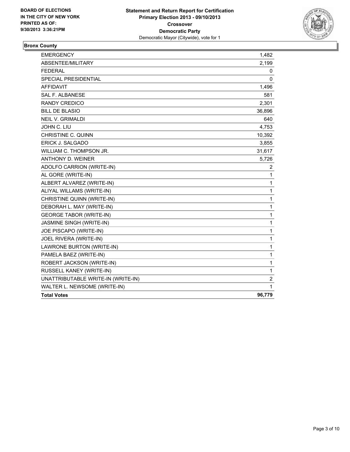

### **Bronx County**

| <b>EMERGENCY</b>                   | 1,482        |
|------------------------------------|--------------|
| ABSENTEE/MILITARY                  | 2,199        |
| <b>FEDERAL</b>                     | 0            |
| SPECIAL PRESIDENTIAL               | 0            |
| <b>AFFIDAVIT</b>                   | 1,496        |
| SAL F. ALBANESE                    | 581          |
| RANDY CREDICO                      | 2,301        |
| <b>BILL DE BLASIO</b>              | 36,896       |
| <b>NEIL V. GRIMALDI</b>            | 640          |
| JOHN C. LIU                        | 4,753        |
| CHRISTINE C. QUINN                 | 10,392       |
| ERICK J. SALGADO                   | 3,855        |
| WILLIAM C. THOMPSON JR.            | 31,617       |
| ANTHONY D. WEINER                  | 5,726        |
| ADOLFO CARRION (WRITE-IN)          | 2            |
| AL GORE (WRITE-IN)                 | 1            |
| ALBERT ALVAREZ (WRITE-IN)          | $\mathbf{1}$ |
| ALIYAL WILLAMS (WRITE-IN)          | $\mathbf 1$  |
| CHRISTINE QUINN (WRITE-IN)         | 1            |
| DEBORAH L. MAY (WRITE-IN)          | $\mathbf{1}$ |
| <b>GEORGE TABOR (WRITE-IN)</b>     | 1            |
| JASMINE SINGH (WRITE-IN)           | $\mathbf{1}$ |
| JOE PISCAPO (WRITE-IN)             | 1            |
| JOEL RIVERA (WRITE-IN)             | 1            |
| LAWRONE BURTON (WRITE-IN)          | $\mathbf{1}$ |
| PAMELA BAEZ (WRITE-IN)             | 1            |
| ROBERT JACKSON (WRITE-IN)          | 1            |
| RUSSELL KANEY (WRITE-IN)           | $\mathbf 1$  |
| UNATTRIBUTABLE WRITE-IN (WRITE-IN) | 2            |
| WALTER L. NEWSOME (WRITE-IN)       | 1            |
| <b>Total Votes</b>                 | 96,779       |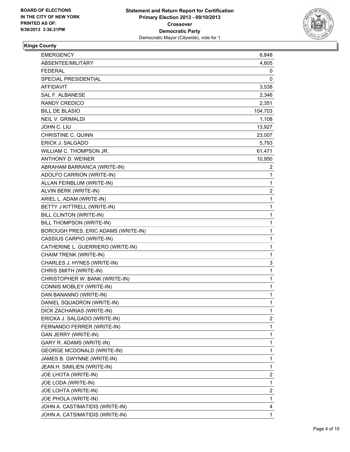

## **Kings County**

| <b>EMERGENCY</b>                    | 6,848   |
|-------------------------------------|---------|
| ABSENTEE/MILITARY                   | 4,605   |
| <b>FEDERAL</b>                      | 0       |
| SPECIAL PRESIDENTIAL                | 0       |
| AFFIDAVIT                           | 3,538   |
| SAL F. ALBANESE                     | 2,346   |
| <b>RANDY CREDICO</b>                | 2,351   |
| <b>BILL DE BLASIO</b>               | 104,703 |
| <b>NEIL V. GRIMALDI</b>             | 1,108   |
| JOHN C. LIU                         | 13,927  |
| <b>CHRISTINE C. QUINN</b>           | 23,007  |
| ERICK J. SALGADO                    | 5,793   |
| WILLIAM C. THOMPSON JR.             | 61,471  |
| ANTHONY D. WEINER                   | 10,950  |
| ABRAHAM BARRANCA (WRITE-IN)         | 2       |
| ADOLFO CARRION (WRITE-IN)           | 1       |
| ALLAN FEINBLUM (WRITE-IN)           | 1       |
| ALVIN BERK (WRITE-IN)               | 2       |
| ARIEL L. ADAM (WRITE-IN)            | 1       |
| BETTY J KITTRELL (WRITE-IN)         | 1       |
| <b>BILL CLINTON (WRITE-IN)</b>      | 1       |
| BILL THOMPSON (WRITE-IN)            | 1       |
| BOROUGH PRES. ERIC ADAMS (WRITE-IN) | 1       |
| CASSIUS CARPIO (WRITE-IN)           | 1       |
| CATHERINE L. GUERRIERO (WRITE-IN)   | 1       |
| CHAIM TRENK (WRITE-IN)              | 1       |
| CHARLES J. HYNES (WRITE-IN)         | 3       |
| CHRIS SMITH (WRITE-IN)              | 1       |
| CHRISTOPHER W. BANK (WRITE-IN)      | 1       |
| CONNIS MOBLEY (WRITE-IN)            | 1       |
| DAN BANANNO (WRITE-IN)              | 1       |
| DANIEL SQUADRON (WRITE-IN)          | 1       |
| DICK ZACHARIAS (WRITE-IN)           | 1       |
| ERICKA J. SALGADO (WRITE-IN)        | 2       |
| FERNANDO FERRER (WRITE-IN)          | 1       |
| <b>GAN JERRY (WRITE-IN)</b>         | 1       |
| GARY R. ADAMS (WRITE-IN)            | 1       |
| <b>GEORGE MCDONALD (WRITE-IN)</b>   | 1       |
| JAMES B. GWYNNE (WRITE-IN)          | 1       |
| JEAN.H. SIMILIEN (WRITE-IN)         | 1       |
| JOE LHOTA (WRITE-IN)                | 2       |
| JOE LODA (WRITE-IN)                 | 1       |
| JOE LOHTA (WRITE-IN)                | 2       |
| JOE PHOLA (WRITE-IN)                | 1       |
| JOHN A. CASTIMATIDIS (WRITE-IN)     | 4       |
| JOHN A. CATSIMATIDIS (WRITE-IN)     | 1       |
|                                     |         |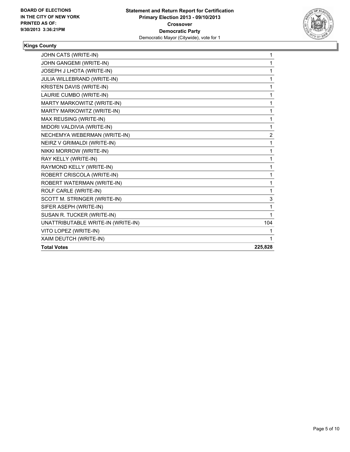

## **Kings County**

| JOHN CATS (WRITE-IN)               | 1       |
|------------------------------------|---------|
| JOHN GANGEMI (WRITE-IN)            | 1       |
| JOSEPH J LHOTA (WRITE-IN)          | 1       |
| JULIA WILLEBRAND (WRITE-IN)        | 1       |
| KRISTEN DAVIS (WRITE-IN)           | 1       |
| LAURIE CUMBO (WRITE-IN)            | 1       |
| MARTY MARKOWITIZ (WRITE-IN)        | 1       |
| MARTY MARKOWITZ (WRITE-IN)         | 1       |
| MAX REUSING (WRITE-IN)             | 1       |
| MIDORI VALDIVIA (WRITE-IN)         | 1       |
| NECHEMYA WEBERMAN (WRITE-IN)       | 2       |
| NEIRZ V GRIMALDI (WRITE-IN)        | 1       |
| NIKKI MORROW (WRITE-IN)            | 1       |
| RAY KELLY (WRITE-IN)               | 1       |
| RAYMOND KELLY (WRITE-IN)           | 1       |
| ROBERT CRISCOLA (WRITE-IN)         | 1       |
| ROBERT WATERMAN (WRITE-IN)         | 1       |
| ROLF CARLE (WRITE-IN)              | 1       |
| SCOTT M. STRINGER (WRITE-IN)       | 3       |
| SIFER ASEPH (WRITE-IN)             | 1       |
| SUSAN R. TUCKER (WRITE-IN)         | 1       |
| UNATTRIBUTABLE WRITE-IN (WRITE-IN) | 104     |
| VITO LOPEZ (WRITE-IN)              | 1       |
| XAIM DEUTCH (WRITE-IN)             | 1       |
| <b>Total Votes</b>                 | 225,828 |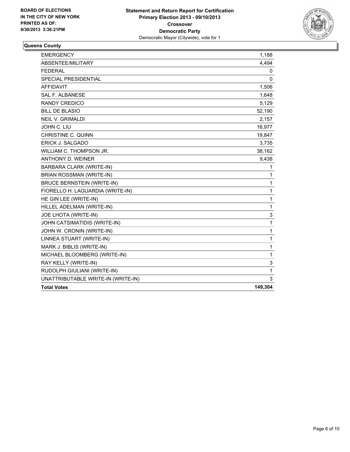

### **Queens County**

| <b>EMERGENCY</b>                   | 1,188    |
|------------------------------------|----------|
| ABSENTEE/MILITARY                  | 4,494    |
| <b>FEDERAL</b>                     | 0        |
| <b>SPECIAL PRESIDENTIAL</b>        | $\Omega$ |
| <b>AFFIDAVIT</b>                   | 1,506    |
| <b>SAL F. ALBANESE</b>             | 1,648    |
| <b>RANDY CREDICO</b>               | 5,129    |
| <b>BILL DE BLASIO</b>              | 52,190   |
| <b>NEIL V. GRIMALDI</b>            | 2,157    |
| JOHN C. LIU                        | 16,977   |
| <b>CHRISTINE C. QUINN</b>          | 19,847   |
| ERICK J. SALGADO                   | 3,735    |
| WILLIAM C. THOMPSON JR.            | 38,162   |
| ANTHONY D. WEINER                  | 9,438    |
| <b>BARBARA CLARK (WRITE-IN)</b>    | 1        |
| BRIAN ROSSMAN (WRITE-IN)           | 1        |
| <b>BRUCE BERNSTEIN (WRITE-IN)</b>  | 1        |
| FIORELLO H. LAGUARDIA (WRITE-IN)   | 1        |
| HE GIN LEE (WRITE-IN)              | 1        |
| HILLEL ADELMAN (WRITE-IN)          | 1        |
| JOE LHOTA (WRITE-IN)               | 3        |
| JOHN CATSIMATIDIS (WRITE-IN)       | 1        |
| JOHN W. CRONIN (WRITE-IN)          | 1        |
| LINNEA STUART (WRITE-IN)           | 1        |
| MARK J. BIBLIS (WRITE-IN)          | 1        |
| MICHAEL BLOOMBERG (WRITE-IN)       | 1        |
| RAY KELLY (WRITE-IN)               | 3        |
| RUDOLPH GIULIANI (WRITE-IN)        | 1        |
| UNATTRIBUTABLE WRITE-IN (WRITE-IN) | 3        |
| <b>Total Votes</b>                 | 149,304  |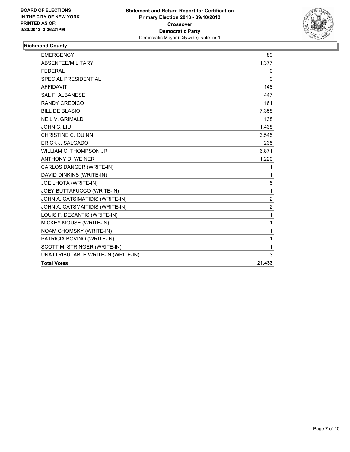

#### **Richmond County**

| <b>EMERGENCY</b>                   | 89             |
|------------------------------------|----------------|
| ABSENTEE/MILITARY                  | 1,377          |
| <b>FEDERAL</b>                     | 0              |
| SPECIAL PRESIDENTIAL               | $\Omega$       |
| <b>AFFIDAVIT</b>                   | 148            |
| <b>SAL F. ALBANESE</b>             | 447            |
| <b>RANDY CREDICO</b>               | 161            |
| <b>BILL DE BLASIO</b>              | 7,358          |
| <b>NEIL V. GRIMALDI</b>            | 138            |
| JOHN C. LIU                        | 1,438          |
| <b>CHRISTINE C. QUINN</b>          | 3,545          |
| ERICK J. SALGADO                   | 235            |
| WILLIAM C. THOMPSON JR.            | 6,871          |
| <b>ANTHONY D. WEINER</b>           | 1,220          |
| CARLOS DANGER (WRITE-IN)           | 1              |
| DAVID DINKINS (WRITE-IN)           | 1              |
| JOE LHOTA (WRITE-IN)               | 5              |
| JOEY BUTTAFUCCO (WRITE-IN)         | 1              |
| JOHN A. CATSIMATIDIS (WRITE-IN)    | $\overline{2}$ |
| JOHN A. CATSMAITIDIS (WRITE-IN)    | $\overline{2}$ |
| LOUIS F. DESANTIS (WRITE-IN)       | 1              |
| MICKEY MOUSE (WRITE-IN)            | 1              |
| NOAM CHOMSKY (WRITE-IN)            | 1              |
| PATRICIA BOVINO (WRITE-IN)         | 1              |
| SCOTT M. STRINGER (WRITE-IN)       | 1              |
| UNATTRIBUTABLE WRITE-IN (WRITE-IN) | 3              |
| <b>Total Votes</b>                 | 21,433         |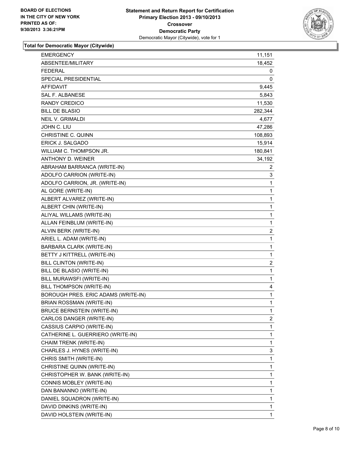

#### **Total for Democratic Mayor (Citywide)**

| <b>EMERGENCY</b>                    | 11,151         |
|-------------------------------------|----------------|
| ABSENTEE/MILITARY                   | 18,452         |
| FEDERAL                             | 0              |
| <b>SPECIAL PRESIDENTIAL</b>         | 0              |
| <b>AFFIDAVIT</b>                    | 9,445          |
| <b>SAL F. ALBANESE</b>              | 5,843          |
| <b>RANDY CREDICO</b>                | 11,530         |
| <b>BILL DE BLASIO</b>               | 282,344        |
| <b>NEIL V. GRIMALDI</b>             | 4,677          |
| JOHN C. LIU                         | 47,286         |
| CHRISTINE C. QUINN                  | 108,893        |
| <b>ERICK J. SALGADO</b>             | 15,914         |
| WILLIAM C. THOMPSON JR.             | 180,841        |
| ANTHONY D. WEINER                   | 34,192         |
| ABRAHAM BARRANCA (WRITE-IN)         | 2              |
| ADOLFO CARRION (WRITE-IN)           | 3              |
| ADOLFO CARRION, JR. (WRITE-IN)      | 1              |
| AL GORE (WRITE-IN)                  | 1              |
| ALBERT ALVAREZ (WRITE-IN)           | 1              |
| ALBERT CHIN (WRITE-IN)              | $\mathbf 1$    |
| ALIYAL WILLAMS (WRITE-IN)           | 1              |
| ALLAN FEINBLUM (WRITE-IN)           | $\mathbf{1}$   |
| ALVIN BERK (WRITE-IN)               | $\overline{2}$ |
| ARIEL L. ADAM (WRITE-IN)            | 1              |
| BARBARA CLARK (WRITE-IN)            | $\mathbf{1}$   |
| BETTY J KITTRELL (WRITE-IN)         | 1              |
| <b>BILL CLINTON (WRITE-IN)</b>      | $\overline{2}$ |
| BILL DE BLASIO (WRITE-IN)           | $\mathbf{1}$   |
| BILL MURAWSFI (WRITE-IN)            | 1              |
| BILL THOMPSON (WRITE-IN)            | 4              |
| BOROUGH PRES. ERIC ADAMS (WRITE-IN) | $\mathbf{1}$   |
| BRIAN ROSSMAN (WRITE-IN)            | $\mathbf{1}$   |
| <b>BRUCE BERNSTEIN (WRITE-IN)</b>   | $\mathbf 1$    |
| CARLOS DANGER (WRITE-IN)            | $\mathbf{2}$   |
| CASSIUS CARPIO (WRITE-IN)           | 1              |
| CATHERINE L. GUERRIERO (WRITE-IN)   | 1              |
| CHAIM TRENK (WRITE-IN)              | 1              |
| CHARLES J. HYNES (WRITE-IN)         | 3              |
| CHRIS SMITH (WRITE-IN)              | $\mathbf 1$    |
| CHRISTINE QUINN (WRITE-IN)          | 1              |
| CHRISTOPHER W. BANK (WRITE-IN)      | $\mathbf 1$    |
| CONNIS MOBLEY (WRITE-IN)            | 1              |
| DAN BANANNO (WRITE-IN)              | 1              |
| DANIEL SQUADRON (WRITE-IN)          | 1              |
| DAVID DINKINS (WRITE-IN)            | 1              |
| DAVID HOLSTEIN (WRITE-IN)           | $\mathbf{1}$   |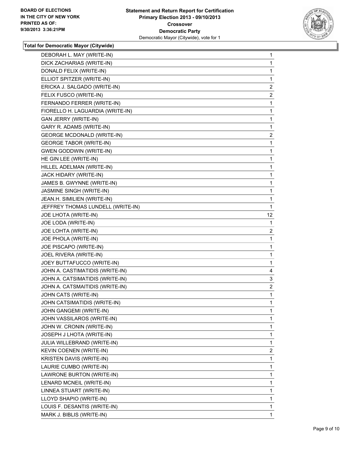

#### **Total for Democratic Mayor (Citywide)**

| DEBORAH L. MAY (WRITE-IN)         | 1                 |
|-----------------------------------|-------------------|
| DICK ZACHARIAS (WRITE-IN)         | 1                 |
| DONALD FELIX (WRITE-IN)           | 1                 |
| ELLIOT SPITZER (WRITE-IN)         | 1                 |
| ERICKA J. SALGADO (WRITE-IN)      | 2                 |
| FELIX FUSCO (WRITE-IN)            | 2                 |
| FERNANDO FERRER (WRITE-IN)        | 1                 |
| FIORELLO H. LAGUARDIA (WRITE-IN)  | 1                 |
| <b>GAN JERRY (WRITE-IN)</b>       | 1                 |
| GARY R. ADAMS (WRITE-IN)          | 1                 |
| <b>GEORGE MCDONALD (WRITE-IN)</b> | 2                 |
| <b>GEORGE TABOR (WRITE-IN)</b>    | 1                 |
| <b>GWEN GODDWIN (WRITE-IN)</b>    | 1                 |
| HE GIN LEE (WRITE-IN)             | 1                 |
| HILLEL ADELMAN (WRITE-IN)         | 1                 |
| JACK HIDARY (WRITE-IN)            | 1                 |
| JAMES B. GWYNNE (WRITE-IN)        | 1                 |
| JASMINE SINGH (WRITE-IN)          | 1                 |
| JEAN.H. SIMILIEN (WRITE-IN)       | 1                 |
| JEFFREY THOMAS LUNDELL (WRITE-IN) | 1                 |
| JOE LHOTA (WRITE-IN)              | $12 \overline{ }$ |
| JOE LODA (WRITE-IN)               | 1                 |
| JOE LOHTA (WRITE-IN)              | 2                 |
| JOE PHOLA (WRITE-IN)              | 1                 |
| JOE PISCAPO (WRITE-IN)            | 1                 |
| JOEL RIVERA (WRITE-IN)            | 1                 |
| JOEY BUTTAFUCCO (WRITE-IN)        | 1                 |
| JOHN A. CASTIMATIDIS (WRITE-IN)   | 4                 |
| JOHN A. CATSIMATIDIS (WRITE-IN)   | 3                 |
| JOHN A. CATSMAITIDIS (WRITE-IN)   | 2                 |
| JOHN CATS (WRITE-IN)              | 1                 |
| JOHN CATSIMATIDIS (WRITE-IN)      | 1                 |
| JOHN GANGEMI (WRITE-IN)           | 1                 |
| JOHN VASSILAROS (WRITE-IN)        | 1                 |
| JOHN W. CRONIN (WRITE-IN)         | 1                 |
| JOSEPH J LHOTA (WRITE-IN)         | 1                 |
| JULIA WILLEBRAND (WRITE-IN)       | 1                 |
| KEVIN COENEN (WRITE-IN)           | $\overline{2}$    |
| KRISTEN DAVIS (WRITE-IN)          | 1                 |
| LAURIE CUMBO (WRITE-IN)           | 1                 |
| LAWRONE BURTON (WRITE-IN)         | 1                 |
| LENARD MCNEIL (WRITE-IN)          | 1                 |
| LINNEA STUART (WRITE-IN)          | 1                 |
| LLOYD SHAPIO (WRITE-IN)           | 1                 |
| LOUIS F. DESANTIS (WRITE-IN)      | 1                 |
| MARK J. BIBLIS (WRITE-IN)         | 1.                |